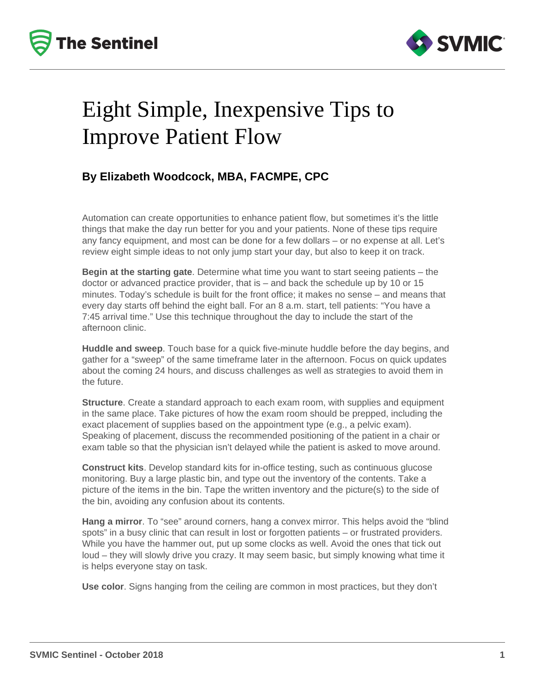



## Eight Simple, Inexpensive Tips to Improve Patient Flow

### **By Elizabeth Woodcock, MBA, FACMPE, CPC**

Automation can create opportunities to enhance patient flow, but sometimes it's the little things that make the day run better for you and your patients. None of these tips require any fancy equipment, and most can be done for a few dollars – or no expense at all. Let's review eight simple ideas to not only jump start your day, but also to keep it on track.

**Begin at the starting gate**. Determine what time you want to start seeing patients – the doctor or advanced practice provider, that is – and back the schedule up by 10 or 15 minutes. Today's schedule is built for the front office; it makes no sense – and means that every day starts off behind the eight ball. For an 8 a.m. start, tell patients: "You have a 7:45 arrival time." Use this technique throughout the day to include the start of the afternoon clinic.

**Huddle and sweep**. Touch base for a quick five-minute huddle before the day begins, and gather for a "sweep" of the same timeframe later in the afternoon. Focus on quick updates about the coming 24 hours, and discuss challenges as well as strategies to avoid them in the future.

**Structure**. Create a standard approach to each exam room, with supplies and equipment in the same place. Take pictures of how the exam room should be prepped, including the exact placement of supplies based on the appointment type (e.g., a pelvic exam). Speaking of placement, discuss the recommended positioning of the patient in a chair or exam table so that the physician isn't delayed while the patient is asked to move around.

**Construct kits**. Develop standard kits for in-office testing, such as continuous glucose monitoring. Buy a large plastic bin, and type out the inventory of the contents. Take a picture of the items in the bin. Tape the written inventory and the picture(s) to the side of the bin, avoiding any confusion about its contents.

**Hang a mirror**. To "see" around corners, hang a convex mirror. This helps avoid the "blind spots" in a busy clinic that can result in lost or forgotten patients – or frustrated providers. While you have the hammer out, put up some clocks as well. Avoid the ones that tick out loud – they will slowly drive you crazy. It may seem basic, but simply knowing what time it is helps everyone stay on task.

**Use color**. Signs hanging from the ceiling are common in most practices, but they don't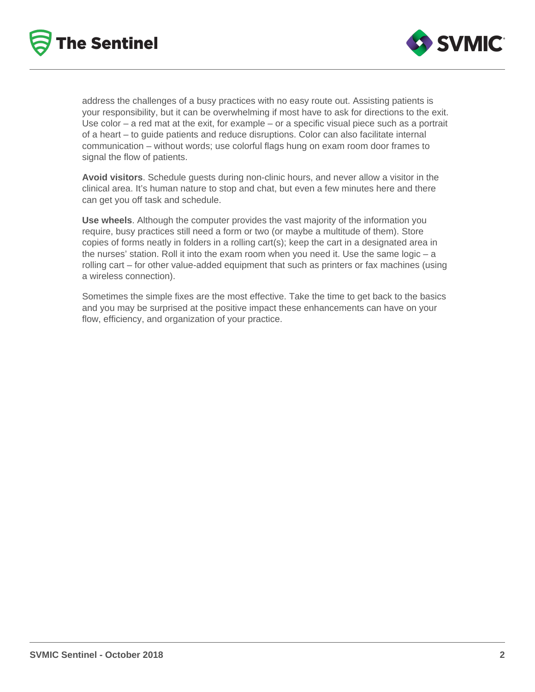



address the challenges of a busy practices with no easy route out. Assisting patients is your responsibility, but it can be overwhelming if most have to ask for directions to the exit. Use color  $-$  a red mat at the exit, for example  $-$  or a specific visual piece such as a portrait of a heart – to guide patients and reduce disruptions. Color can also facilitate internal communication – without words; use colorful flags hung on exam room door frames to signal the flow of patients.

**Avoid visitors**. Schedule guests during non-clinic hours, and never allow a visitor in the clinical area. It's human nature to stop and chat, but even a few minutes here and there can get you off task and schedule.

**Use wheels**. Although the computer provides the vast majority of the information you require, busy practices still need a form or two (or maybe a multitude of them). Store copies of forms neatly in folders in a rolling cart(s); keep the cart in a designated area in the nurses' station. Roll it into the exam room when you need it. Use the same logic – a rolling cart – for other value-added equipment that such as printers or fax machines (using a wireless connection).

Sometimes the simple fixes are the most effective. Take the time to get back to the basics and you may be surprised at the positive impact these enhancements can have on your flow, efficiency, and organization of your practice.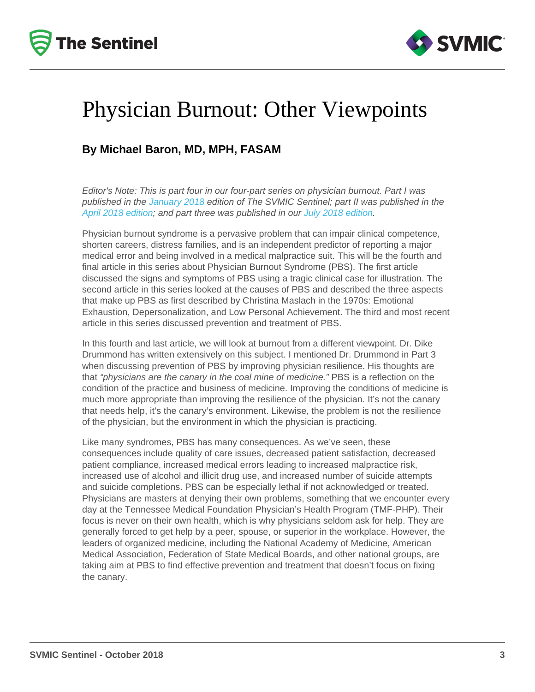## Physician Burnout: Other Viewpoints

### By Michael Baron, MD, MPH, FASAM

Editor's Note: This is part four in our four-part series on physician burnout. Part I was published in the [January 2018](/resources/newsletters/94/physician-burnout-recognize-the-signs) edition of The SVMIC Sentinel; part II was published in the [April 2018 edition](/resources/newsletters/126/physician-burnout-what-is-it-and-what-causes-it); and part three was published in our [July 2018 edition.](/resources/newsletters/147/physician-burnout-prevention-and-treatment)

Physician burnout syndrome is a pervasive problem that can impair clinical competence, shorten careers, distress families, and is an independent predictor of reporting a major medical error and being involved in a medical malpractice suit. This will be the fourth and final article in this series about Physician Burnout Syndrome (PBS). The first article discussed the signs and symptoms of PBS using a tragic clinical case for illustration. The second article in this series looked at the causes of PBS and described the three aspects that make up PBS as first described by Christina Maslach in the 1970s: Emotional Exhaustion, Depersonalization, and Low Personal Achievement. The third and most recent article in this series discussed prevention and treatment of PBS.

In this fourth and last article, we will look at burnout from a different viewpoint. Dr. Dike Drummond has written extensively on this subject. I mentioned Dr. Drummond in Part 3 when discussing prevention of PBS by improving physician resilience. His thoughts are that "physicians are the canary in the coal mine of medicine." PBS is a reflection on the condition of the practice and business of medicine. Improving the conditions of medicine is much more appropriate than improving the resilience of the physician. It's not the canary that needs help, it's the canary's environment. Likewise, the problem is not the resilience of the physician, but the environment in which the physician is practicing.

Like many syndromes, PBS has many consequences. As we've seen, these consequences include quality of care issues, decreased patient satisfaction, decreased patient compliance, increased medical errors leading to increased malpractice risk, increased use of alcohol and illicit drug use, and increased number of suicide attempts and suicide completions. PBS can be especially lethal if not acknowledged or treated. Physicians are masters at denying their own problems, something that we encounter every day at the Tennessee Medical Foundation Physician's Health Program (TMF-PHP). Their focus is never on their own health, which is why physicians seldom ask for help. They are generally forced to get help by a peer, spouse, or superior in the workplace. However, the leaders of organized medicine, including the National Academy of Medicine, American Medical Association, Federation of State Medical Boards, and other national groups, are taking aim at PBS to find effective prevention and treatment that doesn't focus on fixing the canary.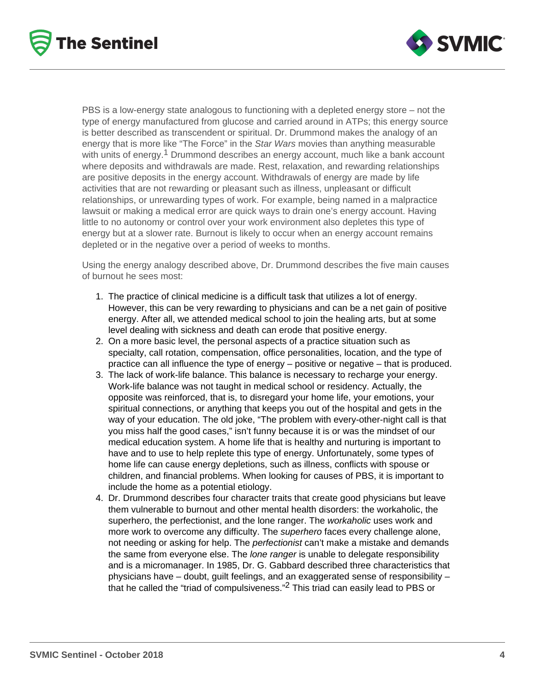



PBS is a low-energy state analogous to functioning with a depleted energy store – not the type of energy manufactured from glucose and carried around in ATPs; this energy source is better described as transcendent or spiritual. Dr. Drummond makes the analogy of an energy that is more like "The Force" in the Star Wars movies than anything measurable with units of energy.<sup>1</sup> Drummond describes an energy account, much like a bank account where deposits and withdrawals are made. Rest, relaxation, and rewarding relationships are positive deposits in the energy account. Withdrawals of energy are made by life activities that are not rewarding or pleasant such as illness, unpleasant or difficult relationships, or unrewarding types of work. For example, being named in a malpractice lawsuit or making a medical error are quick ways to drain one's energy account. Having little to no autonomy or control over your work environment also depletes this type of energy but at a slower rate. Burnout is likely to occur when an energy account remains depleted or in the negative over a period of weeks to months.

Using the energy analogy described above, Dr. Drummond describes the five main causes of burnout he sees most:

- 1. The practice of clinical medicine is a difficult task that utilizes a lot of energy. However, this can be very rewarding to physicians and can be a net gain of positive energy. After all, we attended medical school to join the healing arts, but at some level dealing with sickness and death can erode that positive energy.
- 2. On a more basic level, the personal aspects of a practice situation such as specialty, call rotation, compensation, office personalities, location, and the type of practice can all influence the type of energy – positive or negative – that is produced.
- 3. The lack of work-life balance. This balance is necessary to recharge your energy. Work-life balance was not taught in medical school or residency. Actually, the opposite was reinforced, that is, to disregard your home life, your emotions, your spiritual connections, or anything that keeps you out of the hospital and gets in the way of your education. The old joke, "The problem with every-other-night call is that you miss half the good cases," isn't funny because it is or was the mindset of our medical education system. A home life that is healthy and nurturing is important to have and to use to help replete this type of energy. Unfortunately, some types of home life can cause energy depletions, such as illness, conflicts with spouse or children, and financial problems. When looking for causes of PBS, it is important to include the home as a potential etiology.
- 4. Dr. Drummond describes four character traits that create good physicians but leave them vulnerable to burnout and other mental health disorders: the workaholic, the superhero, the perfectionist, and the lone ranger. The *workaholic* uses work and more work to overcome any difficulty. The superhero faces every challenge alone, not needing or asking for help. The *perfectionist* can't make a mistake and demands the same from everyone else. The *lone ranger* is unable to delegate responsibility and is a micromanager. In 1985, Dr. G. Gabbard described three characteristics that physicians have – doubt, guilt feelings, and an exaggerated sense of responsibility – that he called the "triad of compulsiveness."2 This triad can easily lead to PBS or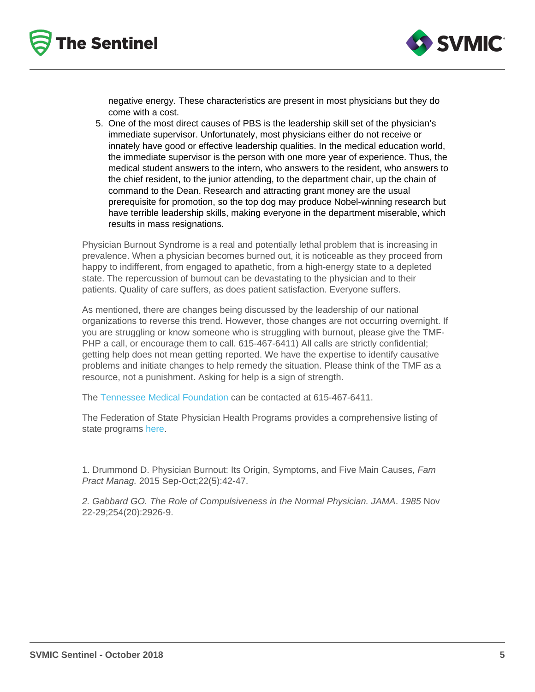negative energy. These characteristics are present in most physicians but they do come with a cost.

5. One of the most direct causes of PBS is the leadership skill set of the physician's immediate supervisor. Unfortunately, most physicians either do not receive or innately have good or effective leadership qualities. In the medical education world, the immediate supervisor is the person with one more year of experience. Thus, the medical student answers to the intern, who answers to the resident, who answers to the chief resident, to the junior attending, to the department chair, up the chain of command to the Dean. Research and attracting grant money are the usual prerequisite for promotion, so the top dog may produce Nobel-winning research but have terrible leadership skills, making everyone in the department miserable, which results in mass resignations.

Physician Burnout Syndrome is a real and potentially lethal problem that is increasing in prevalence. When a physician becomes burned out, it is noticeable as they proceed from happy to indifferent, from engaged to apathetic, from a high-energy state to a depleted state. The repercussion of burnout can be devastating to the physician and to their patients. Quality of care suffers, as does patient satisfaction. Everyone suffers.

As mentioned, there are changes being discussed by the leadership of our national organizations to reverse this trend. However, those changes are not occurring overnight. If you are struggling or know someone who is struggling with burnout, please give the TMF-PHP a call, or encourage them to call. 615-467-6411) All calls are strictly confidential; getting help does not mean getting reported. We have the expertise to identify causative problems and initiate changes to help remedy the situation. Please think of the TMF as a resource, not a punishment. Asking for help is a sign of strength.

The [Tennessee Medical Foundation](https://e-tmf.org/) can be contacted at 615-467-6411.

The Federation of State Physician Health Programs provides a comprehensive listing of state programs [here.](https://www.fsphp.org/state-programs)

1. Drummond D. Physician Burnout: Its Origin, Symptoms, and Five Main Causes, Fam Pract Manag. 2015 Sep-Oct;22(5):42-47.

2. Gabbard GO. The Role of Compulsiveness in the Normal Physician. JAMA. 1985 Nov 22-29;254(20):2926-9.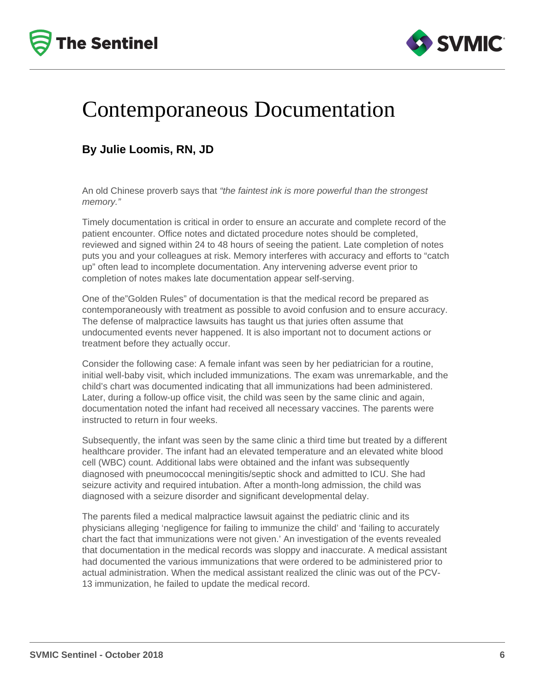



### Contemporaneous Documentation

### **By Julie Loomis, RN, JD**

An old Chinese proverb says that "the faintest ink is more powerful than the strongest memory."

Timely documentation is critical in order to ensure an accurate and complete record of the patient encounter. Office notes and dictated procedure notes should be completed, reviewed and signed within 24 to 48 hours of seeing the patient. Late completion of notes puts you and your colleagues at risk. Memory interferes with accuracy and efforts to "catch up" often lead to incomplete documentation. Any intervening adverse event prior to completion of notes makes late documentation appear self-serving.

One of the"Golden Rules" of documentation is that the medical record be prepared as contemporaneously with treatment as possible to avoid confusion and to ensure accuracy. The defense of malpractice lawsuits has taught us that juries often assume that undocumented events never happened. It is also important not to document actions or treatment before they actually occur.

Consider the following case: A female infant was seen by her pediatrician for a routine, initial well-baby visit, which included immunizations. The exam was unremarkable, and the child's chart was documented indicating that all immunizations had been administered. Later, during a follow-up office visit, the child was seen by the same clinic and again, documentation noted the infant had received all necessary vaccines. The parents were instructed to return in four weeks.

Subsequently, the infant was seen by the same clinic a third time but treated by a different healthcare provider. The infant had an elevated temperature and an elevated white blood cell (WBC) count. Additional labs were obtained and the infant was subsequently diagnosed with pneumococcal meningitis/septic shock and admitted to ICU. She had seizure activity and required intubation. After a month-long admission, the child was diagnosed with a seizure disorder and significant developmental delay.

The parents filed a medical malpractice lawsuit against the pediatric clinic and its physicians alleging 'negligence for failing to immunize the child' and 'failing to accurately chart the fact that immunizations were not given.' An investigation of the events revealed that documentation in the medical records was sloppy and inaccurate. A medical assistant had documented the various immunizations that were ordered to be administered prior to actual administration. When the medical assistant realized the clinic was out of the PCV-13 immunization, he failed to update the medical record.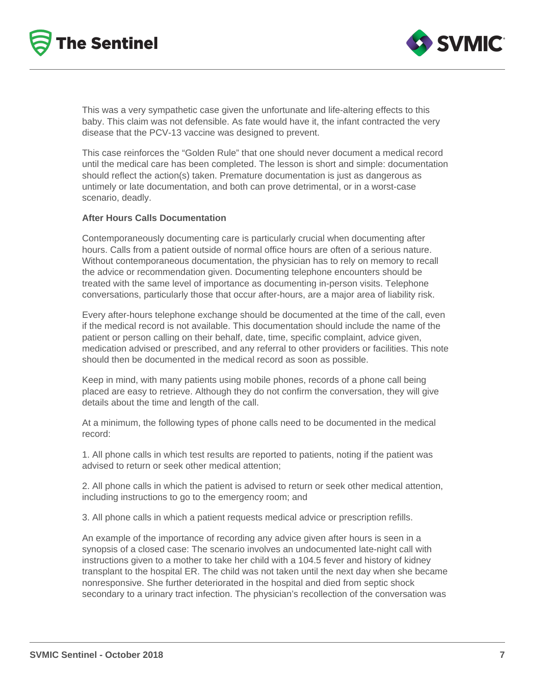



This was a very sympathetic case given the unfortunate and life-altering effects to this baby. This claim was not defensible. As fate would have it, the infant contracted the very disease that the PCV-13 vaccine was designed to prevent.

This case reinforces the "Golden Rule" that one should never document a medical record until the medical care has been completed. The lesson is short and simple: documentation should reflect the action(s) taken. Premature documentation is just as dangerous as untimely or late documentation, and both can prove detrimental, or in a worst-case scenario, deadly.

#### **After Hours Calls Documentation**

Contemporaneously documenting care is particularly crucial when documenting after hours. Calls from a patient outside of normal office hours are often of a serious nature. Without contemporaneous documentation, the physician has to rely on memory to recall the advice or recommendation given. Documenting telephone encounters should be treated with the same level of importance as documenting in-person visits. Telephone conversations, particularly those that occur after-hours, are a major area of liability risk.

Every after-hours telephone exchange should be documented at the time of the call, even if the medical record is not available. This documentation should include the name of the patient or person calling on their behalf, date, time, specific complaint, advice given, medication advised or prescribed, and any referral to other providers or facilities. This note should then be documented in the medical record as soon as possible.

Keep in mind, with many patients using mobile phones, records of a phone call being placed are easy to retrieve. Although they do not confirm the conversation, they will give details about the time and length of the call.

At a minimum, the following types of phone calls need to be documented in the medical record:

1. All phone calls in which test results are reported to patients, noting if the patient was advised to return or seek other medical attention;

2. All phone calls in which the patient is advised to return or seek other medical attention, including instructions to go to the emergency room; and

3. All phone calls in which a patient requests medical advice or prescription refills.

An example of the importance of recording any advice given after hours is seen in a synopsis of a closed case: The scenario involves an undocumented late-night call with instructions given to a mother to take her child with a 104.5 fever and history of kidney transplant to the hospital ER. The child was not taken until the next day when she became nonresponsive. She further deteriorated in the hospital and died from septic shock secondary to a urinary tract infection. The physician's recollection of the conversation was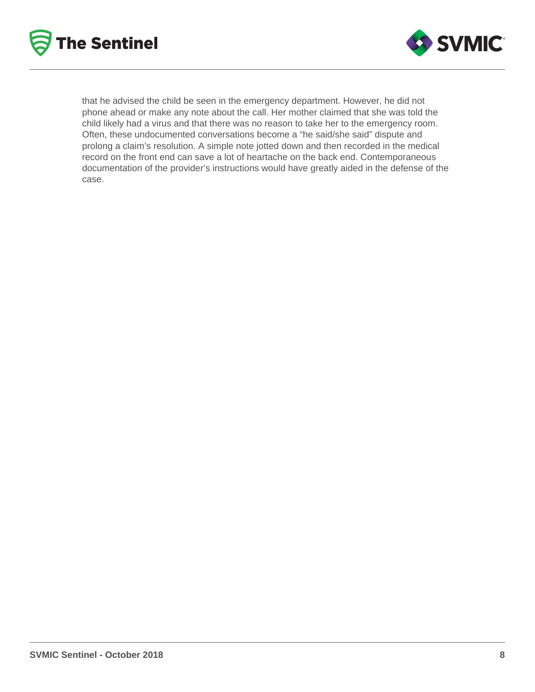



that he advised the child be seen in the emergency department. However, he did not phone ahead or make any note about the call. Her mother claimed that she was told the child likely had a virus and that there was no reason to take her to the emergency room. Often, these undocumented conversations become a "he said/she said" dispute and prolong a claim's resolution. A simple note jotted down and then recorded in the medical record on the front end can save a lot of heartache on the back end. Contemporaneous documentation of the provider's instructions would have greatly aided in the defense of the case.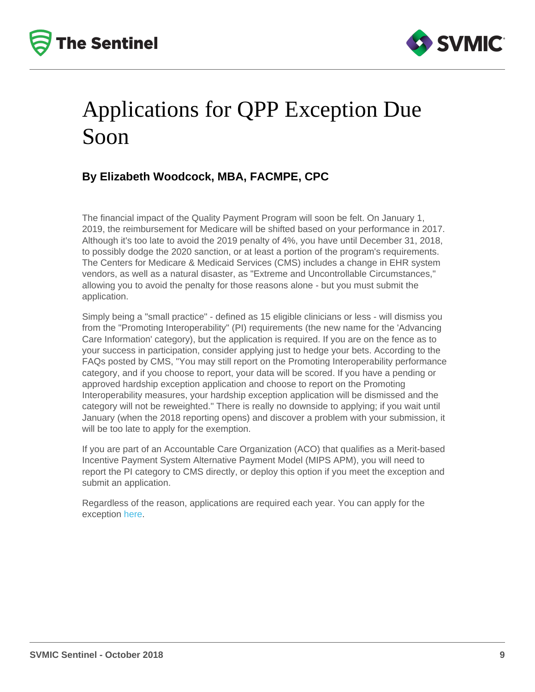## Applications for QPP Exception Due Soon

### By Elizabeth Woodcock, MBA, FACMPE, CPC

The financial impact of the Quality Payment Program will soon be felt. On January 1, 2019, the reimbursement for Medicare will be shifted based on your performance in 2017. Although it's too late to avoid the 2019 penalty of 4%, you have until December 31, 2018, to possibly dodge the 2020 sanction, or at least a portion of the program's requirements. The Centers for Medicare & Medicaid Services (CMS) includes a change in EHR system vendors, as well as a natural disaster, as "Extreme and Uncontrollable Circumstances," allowing you to avoid the penalty for those reasons alone - but you must submit the application.

Simply being a "small practice" - defined as 15 eligible clinicians or less - will dismiss you from the "Promoting Interoperability" (PI) requirements (the new name for the 'Advancing Care Information' category), but the application is required. If you are on the fence as to your success in participation, consider applying just to hedge your bets. According to the FAQs posted by CMS, "You may still report on the Promoting Interoperability performance category, and if you choose to report, your data will be scored. If you have a pending or approved hardship exception application and choose to report on the Promoting Interoperability measures, your hardship exception application will be dismissed and the category will not be reweighted." There is really no downside to applying; if you wait until January (when the 2018 reporting opens) and discover a problem with your submission, it will be too late to apply for the exemption.

If you are part of an Accountable Care Organization (ACO) that qualifies as a Merit-based Incentive Payment System Alternative Payment Model (MIPS APM), you will need to report the PI category to CMS directly, or deploy this option if you meet the exception and submit an application.

Regardless of the reason, applications are required each year. You can apply for the exception [here.](https://qpp.cms.gov/mips/exception-applications)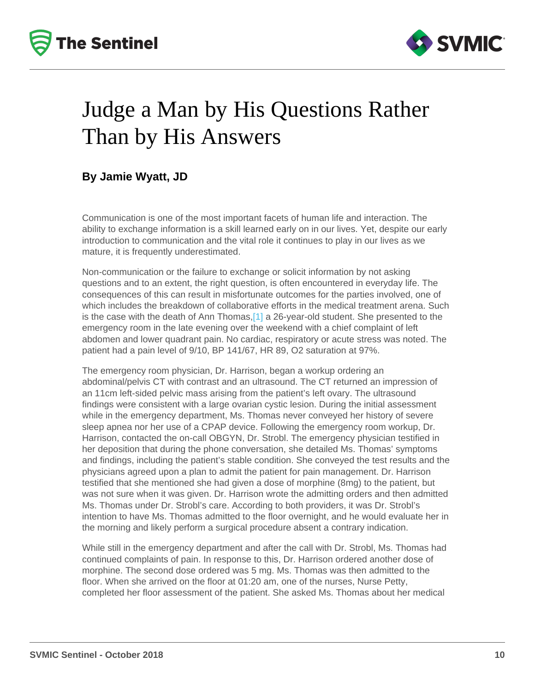## <span id="page-9-0"></span>Judge a Man by His Questions Rather Than by His Answers

By Jamie Wyatt, JD

Communication is one of the most important facets of human life and interaction. The ability to exchange information is a skill learned early on in our lives. Yet, despite our early introduction to communication and the vital role it continues to play in our lives as we mature, it is frequently underestimated.

Non-communication or the failure to exchange or solicit information by not asking questions and to an extent, the right question, is often encountered in everyday life. The consequences of this can result in misfortunate outcomes for the parties involved, one of which includes the breakdown of collaborative efforts in the medical treatment arena. Such is the case with the death of Ann Thomas,[\[1\]](#page-11-0) a 26-year-old student. She presented to the emergency room in the late evening over the weekend with a chief complaint of left abdomen and lower quadrant pain. No cardiac, respiratory or acute stress was noted. The patient had a pain level of 9/10, BP 141/67, HR 89, O2 saturation at 97%.

The emergency room physician, Dr. Harrison, began a workup ordering an abdominal/pelvis CT with contrast and an ultrasound. The CT returned an impression of an 11cm left-sided pelvic mass arising from the patient's left ovary. The ultrasound findings were consistent with a large ovarian cystic lesion. During the initial assessment while in the emergency department, Ms. Thomas never conveyed her history of severe sleep apnea nor her use of a CPAP device. Following the emergency room workup, Dr. Harrison, contacted the on-call OBGYN, Dr. Strobl. The emergency physician testified in her deposition that during the phone conversation, she detailed Ms. Thomas' symptoms and findings, including the patient's stable condition. She conveyed the test results and the physicians agreed upon a plan to admit the patient for pain management. Dr. Harrison testified that she mentioned she had given a dose of morphine (8mg) to the patient, but was not sure when it was given. Dr. Harrison wrote the admitting orders and then admitted Ms. Thomas under Dr. Strobl's care. According to both providers, it was Dr. Strobl's intention to have Ms. Thomas admitted to the floor overnight, and he would evaluate her in the morning and likely perform a surgical procedure absent a contrary indication.

While still in the emergency department and after the call with Dr. Strobl, Ms. Thomas had continued complaints of pain. In response to this, Dr. Harrison ordered another dose of morphine. The second dose ordered was 5 mg. Ms. Thomas was then admitted to the floor. When she arrived on the floor at 01:20 am, one of the nurses, Nurse Petty, completed her floor assessment of the patient. She asked Ms. Thomas about her medical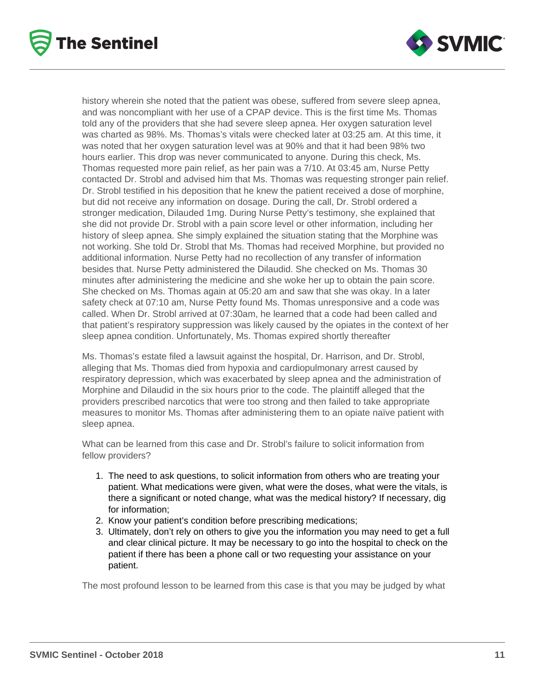



history wherein she noted that the patient was obese, suffered from severe sleep apnea, and was noncompliant with her use of a CPAP device. This is the first time Ms. Thomas told any of the providers that she had severe sleep apnea. Her oxygen saturation level was charted as 98%. Ms. Thomas's vitals were checked later at 03:25 am. At this time, it was noted that her oxygen saturation level was at 90% and that it had been 98% two hours earlier. This drop was never communicated to anyone. During this check, Ms. Thomas requested more pain relief, as her pain was a 7/10. At 03:45 am, Nurse Petty contacted Dr. Strobl and advised him that Ms. Thomas was requesting stronger pain relief. Dr. Strobl testified in his deposition that he knew the patient received a dose of morphine, but did not receive any information on dosage. During the call, Dr. Strobl ordered a stronger medication, Dilauded 1mg. During Nurse Petty's testimony, she explained that she did not provide Dr. Strobl with a pain score level or other information, including her history of sleep apnea. She simply explained the situation stating that the Morphine was not working. She told Dr. Strobl that Ms. Thomas had received Morphine, but provided no additional information. Nurse Petty had no recollection of any transfer of information besides that. Nurse Petty administered the Dilaudid. She checked on Ms. Thomas 30 minutes after administering the medicine and she woke her up to obtain the pain score. She checked on Ms. Thomas again at 05:20 am and saw that she was okay. In a later safety check at 07:10 am, Nurse Petty found Ms. Thomas unresponsive and a code was called. When Dr. Strobl arrived at 07:30am, he learned that a code had been called and that patient's respiratory suppression was likely caused by the opiates in the context of her sleep apnea condition. Unfortunately, Ms. Thomas expired shortly thereafter

Ms. Thomas's estate filed a lawsuit against the hospital, Dr. Harrison, and Dr. Strobl, alleging that Ms. Thomas died from hypoxia and cardiopulmonary arrest caused by respiratory depression, which was exacerbated by sleep apnea and the administration of Morphine and Dilaudid in the six hours prior to the code. The plaintiff alleged that the providers prescribed narcotics that were too strong and then failed to take appropriate measures to monitor Ms. Thomas after administering them to an opiate naïve patient with sleep apnea.

What can be learned from this case and Dr. Strobl's failure to solicit information from fellow providers?

- 1. The need to ask questions, to solicit information from others who are treating your patient. What medications were given, what were the doses, what were the vitals, is there a significant or noted change, what was the medical history? If necessary, dig for information;
- 2. Know your patient's condition before prescribing medications;
- 3. Ultimately, don't rely on others to give you the information you may need to get a full and clear clinical picture. It may be necessary to go into the hospital to check on the patient if there has been a phone call or two requesting your assistance on your patient.

The most profound lesson to be learned from this case is that you may be judged by what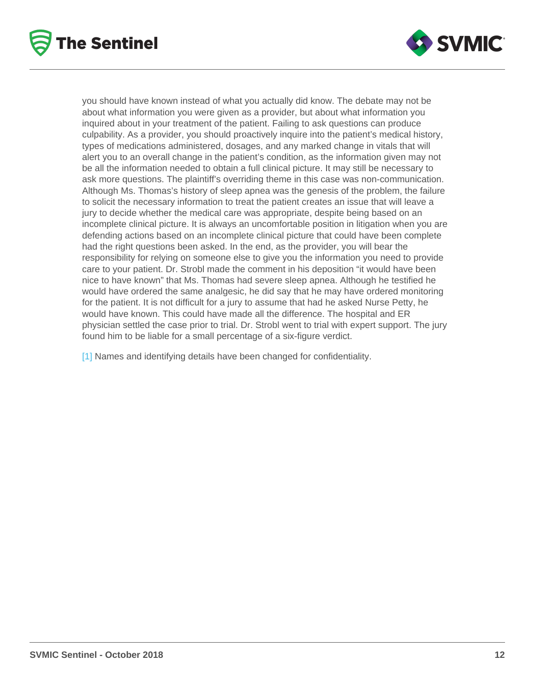<span id="page-11-0"></span>you should have known instead of what you actually did know. The debate may not be about what information you were given as a provider, but about what information you inquired about in your treatment of the patient. Failing to ask questions can produce culpability. As a provider, you should proactively inquire into the patient's medical history, types of medications administered, dosages, and any marked change in vitals that will alert you to an overall change in the patient's condition, as the information given may not be all the information needed to obtain a full clinical picture. It may still be necessary to ask more questions. The plaintiff's overriding theme in this case was non-communication. Although Ms. Thomas's history of sleep apnea was the genesis of the problem, the failure to solicit the necessary information to treat the patient creates an issue that will leave a jury to decide whether the medical care was appropriate, despite being based on an incomplete clinical picture. It is always an uncomfortable position in litigation when you are defending actions based on an incomplete clinical picture that could have been complete had the right questions been asked. In the end, as the provider, you will bear the responsibility for relying on someone else to give you the information you need to provide care to your patient. Dr. Strobl made the comment in his deposition "it would have been nice to have known" that Ms. Thomas had severe sleep apnea. Although he testified he would have ordered the same analgesic, he did say that he may have ordered monitoring for the patient. It is not difficult for a jury to assume that had he asked Nurse Petty, he would have known. This could have made all the difference. The hospital and ER physician settled the case prior to trial. Dr. Strobl went to trial with expert support. The jury found him to be liable for a small percentage of a six-figure verdict.

[\[1\]](#page-9-0) Names and identifying details have been changed for confidentiality.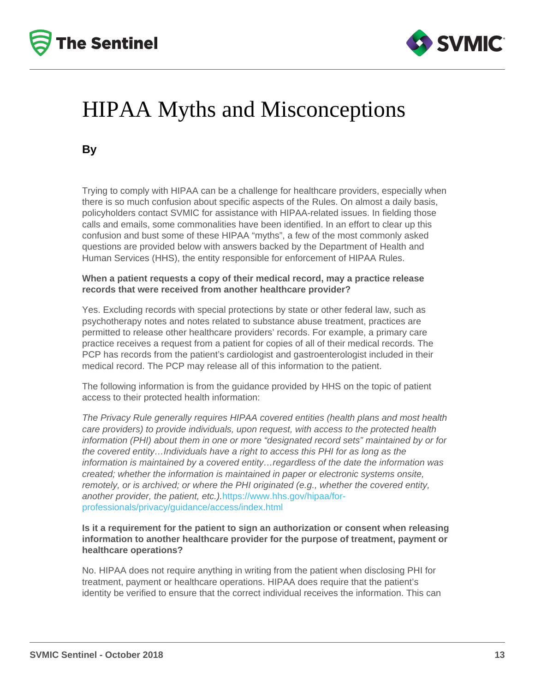# HIPAA Myths and Misconceptions

By

Trying to comply with HIPAA can be a challenge for healthcare providers, especially when there is so much confusion about specific aspects of the Rules. On almost a daily basis, policyholders contact SVMIC for assistance with HIPAA-related issues. In fielding those calls and emails, some commonalities have been identified. In an effort to clear up this confusion and bust some of these HIPAA "myths", a few of the most commonly asked questions are provided below with answers backed by the Department of Health and Human Services (HHS), the entity responsible for enforcement of HIPAA Rules.

When a patient requests a copy of their medical record, may a practice release records that were received from another healthcare provider?

Yes. Excluding records with special protections by state or other federal law, such as psychotherapy notes and notes related to substance abuse treatment, practices are permitted to release other healthcare providers' records. For example, a primary care practice receives a request from a patient for copies of all of their medical records. The PCP has records from the patient's cardiologist and gastroenterologist included in their medical record. The PCP may release all of this information to the patient.

The following information is from the guidance provided by HHS on the topic of patient access to their protected health information:

The Privacy Rule generally requires HIPAA covered entities (health plans and most health care providers) to provide individuals, upon request, with access to the protected health information (PHI) about them in one or more "designated record sets" maintained by or for the covered entity…Individuals have a right to access this PHI for as long as the information is maintained by a covered entity…regardless of the date the information was created; whether the information is maintained in paper or electronic systems onsite, remotely, or is archived; or where the PHI originated (e.g., whether the covered entity, another provider, the patient, etc.).[https://www.hhs.gov/hipaa/for](https://www.hhs.gov/hipaa/for-professionals/privacy/guidance/access/index.html)[professionals/privacy/guidance/access/index.html](https://www.hhs.gov/hipaa/for-professionals/privacy/guidance/access/index.html)

Is it a requirement for the patient to sign an authorization or consent when releasing information to another healthcare provider for the purpose of treatment, payment or healthcare operations?

No. HIPAA does not require anything in writing from the patient when disclosing PHI for treatment, payment or healthcare operations. HIPAA does require that the patient's identity be verified to ensure that the correct individual receives the information. This can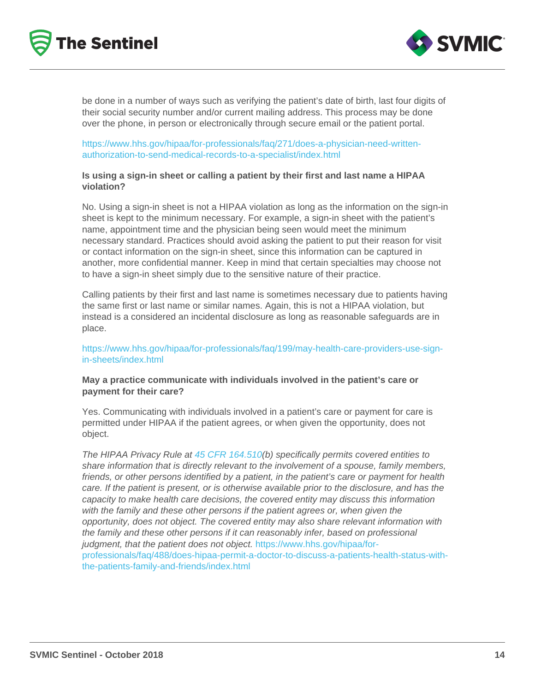be done in a number of ways such as verifying the patient's date of birth, last four digits of their social security number and/or current mailing address. This process may be done over the phone, in person or electronically through secure email or the patient portal.

[https://www.hhs.gov/hipaa/for-professionals/faq/271/does-a-physician-need-written](https://www.hhs.gov/hipaa/for-professionals/faq/271/does-a-physician-need-written-authorization-to-send-medical-records-to-a-specialist/index.html)[authorization-to-send-medical-records-to-a-specialist/index.html](https://www.hhs.gov/hipaa/for-professionals/faq/271/does-a-physician-need-written-authorization-to-send-medical-records-to-a-specialist/index.html)

Is using a sign-in sheet or calling a patient by their first and last name a HIPAA violation?

No. Using a sign-in sheet is not a HIPAA violation as long as the information on the sign-in sheet is kept to the minimum necessary. For example, a sign-in sheet with the patient's name, appointment time and the physician being seen would meet the minimum necessary standard. Practices should avoid asking the patient to put their reason for visit or contact information on the sign-in sheet, since this information can be captured in another, more confidential manner. Keep in mind that certain specialties may choose not to have a sign-in sheet simply due to the sensitive nature of their practice.

Calling patients by their first and last name is sometimes necessary due to patients having the same first or last name or similar names. Again, this is not a HIPAA violation, but instead is a considered an incidental disclosure as long as reasonable safeguards are in place.

[https://www.hhs.gov/hipaa/for-professionals/faq/199/may-health-care-providers-use-sign](https://www.hhs.gov/hipaa/for-professionals/faq/199/may-health-care-providers-use-sign-in-sheets/index.html)[in-sheets/index.html](https://www.hhs.gov/hipaa/for-professionals/faq/199/may-health-care-providers-use-sign-in-sheets/index.html)

May a practice communicate with individuals involved in the patient's care or payment for their care?

Yes. Communicating with individuals involved in a patient's care or payment for care is permitted under HIPAA if the patient agrees, or when given the opportunity, does not object.

The HIPAA Privacy Rule at [45 CFR 164.510](https://www.gpo.gov/fdsys/pkg/CFR-2003-title45-vol1/xml/CFR-2003-title45-vol1-sec164-510.xml)(b) specifically permits covered entities to share information that is directly relevant to the involvement of a spouse, family members, friends, or other persons identified by a patient, in the patient's care or payment for health care. If the patient is present, or is otherwise available prior to the disclosure, and has the capacity to make health care decisions, the covered entity may discuss this information with the family and these other persons if the patient agrees or, when given the opportunity, does not object. The covered entity may also share relevant information with the family and these other persons if it can reasonably infer, based on professional judgment, that the patient does not object. [https://www.hhs.gov/hipaa/for](https://www.hhs.gov/hipaa/for-professionals/faq/488/does-hipaa-permit-a-doctor-to-discuss-a-patients-health-status-with-the-patients-family-and-friends/index.html)[professionals/faq/488/does-hipaa-permit-a-doctor-to-discuss-a-patients-health-status-with](https://www.hhs.gov/hipaa/for-professionals/faq/488/does-hipaa-permit-a-doctor-to-discuss-a-patients-health-status-with-the-patients-family-and-friends/index.html)[the-patients-family-and-friends/index.html](https://www.hhs.gov/hipaa/for-professionals/faq/488/does-hipaa-permit-a-doctor-to-discuss-a-patients-health-status-with-the-patients-family-and-friends/index.html)